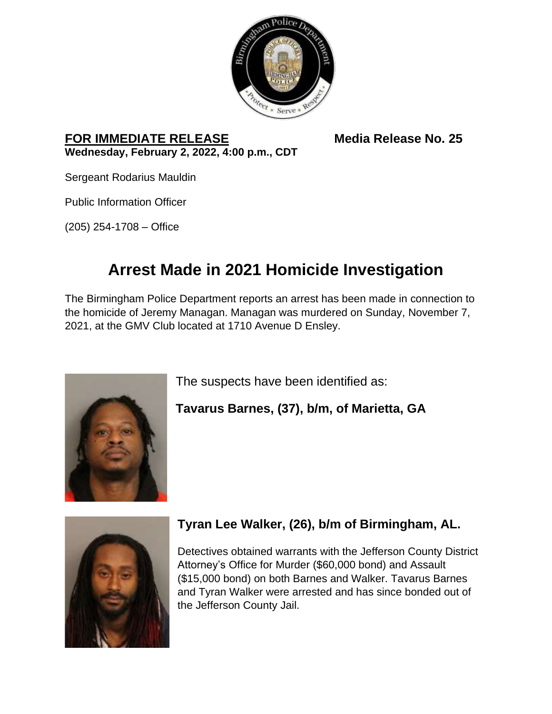

### **FOR IMMEDIATE RELEASE Media Release No. 25 Wednesday, February 2, 2022, 4:00 p.m., CDT**

Sergeant Rodarius Mauldin

Public Information Officer

(205) 254-1708 – Office

# **Arrest Made in 2021 Homicide Investigation**

The Birmingham Police Department reports an arrest has been made in connection to the homicide of Jeremy Managan. Managan was murdered on Sunday, November 7, 2021, at the GMV Club located at 1710 Avenue D Ensley.



The suspects have been identified as:

**Tavarus Barnes, (37), b/m, of Marietta, GA**



## **Tyran Lee Walker, (26), b/m of Birmingham, AL.**

Detectives obtained warrants with the Jefferson County District Attorney's Office for Murder (\$60,000 bond) and Assault (\$15,000 bond) on both Barnes and Walker. Tavarus Barnes and Tyran Walker were arrested and has since bonded out of the Jefferson County Jail.